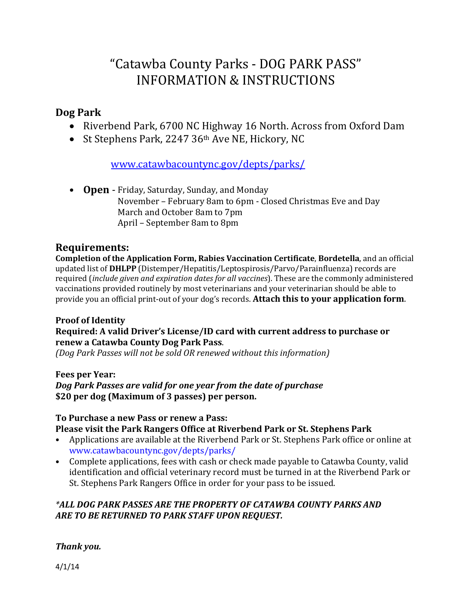# "Catawba County Parks ‐ DOG PARK PASS" INFORMATION & INSTRUCTIONS

#### **Dog Park**

- Riverbend Park, 6700 NC Highway 16 North. Across from Oxford Dam
- St Stephens Park, 2247 36<sup>th</sup> Ave NE, Hickory, NC

[www.catawbacountync.gov/depts/parks/](http://www.catawbacountync.gov/depts/parks/)

• **Open** - Friday, Saturday, Sunday, and Monday November – February 8am to 6pm - Closed Christmas Eve and Day March and October 8am to 7pm April – September 8am to 8pm

### **Requirements:**

**Completion of the Application Form, Rabies Vaccination Certificate**, **Bordetella**, and an official updated list of **DHLPP** (Distemper/Hepatitis/Leptospirosis/Parvo/Parainfluenza) records are required (*include given and expiration dates for all vaccines*). These are the commonly administered vaccinations provided routinely by most veterinarians and your veterinarian should be able to provide you an official print-out of your dog's records. **Attach this to your application form**.

#### **Proof of Identity Required: A valid Driver's License/ID card with current address to purchase or renew a Catawba County Dog Park Pass**.

*(Dog Park Passes will not be sold OR renewed without this information)*

#### **Fees per Year:** *Dog Park Passes are valid for one year from the date of purchase* **\$20 per dog (Maximum of 3 passes) per person.**

#### **To Purchase a new Pass or renew a Pass:**

#### **Please visit the Park Rangers Office at Riverbend Park or St. Stephens Park**

- Applications are available at the Riverbend Park or St. Stephens Park office or online at www.catawbacountync.gov/depts/parks/
- Complete applications, fees with cash or check made payable to Catawba County, valid identification and official veterinary record must be turned in at the Riverbend Park or St. Stephens Park Rangers Office in order for your pass to be issued.

#### *\*ALL DOG PARK PASSES ARE THE PROPERTY OF CATAWBA COUNTY PARKS AND ARE TO BE RETURNED TO PARK STAFF UPON REQUEST.*

#### *Thank you.*

4/1/14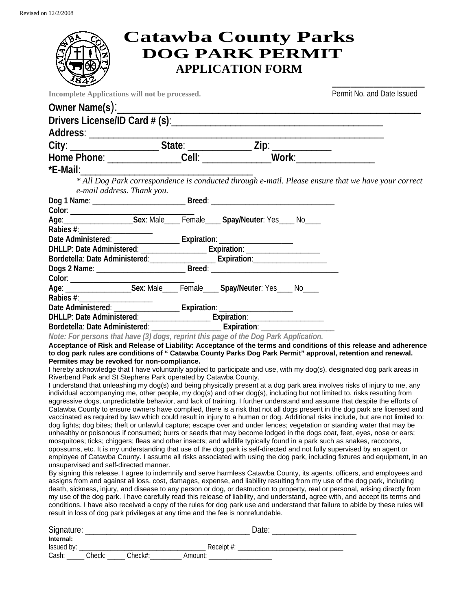## **Catawba County Parks DOG PARK PERMIT APPLICATION FORM**

| <b>284 Z</b>                           |                                                                                 |                                                                                                                                                                                                                                                   |                                                                                                                                 |
|----------------------------------------|---------------------------------------------------------------------------------|---------------------------------------------------------------------------------------------------------------------------------------------------------------------------------------------------------------------------------------------------|---------------------------------------------------------------------------------------------------------------------------------|
|                                        | Incomplete Applications will not be processed.                                  |                                                                                                                                                                                                                                                   | Permit No. and Date Issued                                                                                                      |
|                                        |                                                                                 |                                                                                                                                                                                                                                                   |                                                                                                                                 |
|                                        |                                                                                 |                                                                                                                                                                                                                                                   |                                                                                                                                 |
|                                        |                                                                                 |                                                                                                                                                                                                                                                   |                                                                                                                                 |
|                                        |                                                                                 |                                                                                                                                                                                                                                                   |                                                                                                                                 |
|                                        |                                                                                 |                                                                                                                                                                                                                                                   |                                                                                                                                 |
|                                        |                                                                                 |                                                                                                                                                                                                                                                   |                                                                                                                                 |
|                                        |                                                                                 |                                                                                                                                                                                                                                                   |                                                                                                                                 |
| e-mail address. Thank you.             |                                                                                 |                                                                                                                                                                                                                                                   | *E-Mail:<br>* All Dog Park correspondence is conducted through e-mail. Please ensure that we have your correct***               |
|                                        |                                                                                 |                                                                                                                                                                                                                                                   |                                                                                                                                 |
|                                        |                                                                                 |                                                                                                                                                                                                                                                   |                                                                                                                                 |
|                                        |                                                                                 |                                                                                                                                                                                                                                                   |                                                                                                                                 |
|                                        |                                                                                 |                                                                                                                                                                                                                                                   |                                                                                                                                 |
|                                        |                                                                                 |                                                                                                                                                                                                                                                   |                                                                                                                                 |
|                                        |                                                                                 | Bordetella: Date Administered: _______________________ Expiration: _____________                                                                                                                                                                  |                                                                                                                                 |
|                                        |                                                                                 |                                                                                                                                                                                                                                                   |                                                                                                                                 |
|                                        |                                                                                 |                                                                                                                                                                                                                                                   |                                                                                                                                 |
|                                        |                                                                                 | Age: ______________________Sex: Male_____ Female_____ Spay/Neuter: Yes_____ No____                                                                                                                                                                |                                                                                                                                 |
|                                        |                                                                                 |                                                                                                                                                                                                                                                   |                                                                                                                                 |
|                                        |                                                                                 |                                                                                                                                                                                                                                                   |                                                                                                                                 |
|                                        |                                                                                 | DHLLP: Date Administered: ________________________ Expiration: _________________                                                                                                                                                                  |                                                                                                                                 |
|                                        |                                                                                 |                                                                                                                                                                                                                                                   |                                                                                                                                 |
|                                        |                                                                                 | Note: For persons that have (3) dogs, reprint this page of the Dog Park Application.                                                                                                                                                              |                                                                                                                                 |
|                                        |                                                                                 | to dog park rules are conditions of " Catawba County Parks Dog Park Permit" approval, retention and renewal.                                                                                                                                      | Acceptance of Risk and Release of Liability: Acceptance of the terms and conditions of this release and adherence               |
|                                        | Permites may be revoked for non-compliance.                                     |                                                                                                                                                                                                                                                   |                                                                                                                                 |
|                                        |                                                                                 | I hereby acknowledge that I have voluntarily applied to participate and use, with my dog(s), designated dog park areas in                                                                                                                         |                                                                                                                                 |
|                                        | Riverbend Park and St Stephens Park operated by Catawba County.                 |                                                                                                                                                                                                                                                   |                                                                                                                                 |
|                                        |                                                                                 | individual accompanying me, other people, my dog(s) and other dog(s), including but not limited to, risks resulting from                                                                                                                          | I understand that unleashing my dog(s) and being physically present at a dog park area involves risks of injury to me, any      |
|                                        |                                                                                 | aggressive dogs, unpredictable behavior, and lack of training. I further understand and assume that despite the efforts of                                                                                                                        |                                                                                                                                 |
|                                        |                                                                                 |                                                                                                                                                                                                                                                   | Catawba County to ensure owners have complied, there is a risk that not all dogs present in the dog park are licensed and       |
|                                        |                                                                                 |                                                                                                                                                                                                                                                   | vaccinated as required by law which could result in injury to a human or dog. Additional risks include, but are not limited to: |
|                                        |                                                                                 | dog fights; dog bites; theft or unlawful capture; escape over and under fences; vegetation or standing water that may be<br>unhealthy or poisonous if consumed; burrs or seeds that may become lodged in the dogs coat, feet, eyes, nose or ears; |                                                                                                                                 |
|                                        |                                                                                 | mosquitoes; ticks; chiggers; fleas and other insects; and wildlife typically found in a park such as snakes, raccoons,                                                                                                                            |                                                                                                                                 |
|                                        |                                                                                 | opossums, etc. It is my understanding that use of the dog park is self-directed and not fully supervised by an agent or                                                                                                                           |                                                                                                                                 |
|                                        |                                                                                 |                                                                                                                                                                                                                                                   | employee of Catawba County. I assume all risks associated with using the dog park, including fixtures and equipment, in an      |
| unsupervised and self-directed manner. |                                                                                 |                                                                                                                                                                                                                                                   | By signing this release, I agree to indemnify and serve harmless Catawba County, its agents, officers, and employees and        |
|                                        |                                                                                 | assigns from and against all loss, cost, damages, expense, and liability resulting from my use of the dog park, including                                                                                                                         |                                                                                                                                 |
|                                        |                                                                                 |                                                                                                                                                                                                                                                   | death, sickness, injury, and disease to any person or dog, or destruction to property, real or personal, arising directly from  |
|                                        |                                                                                 |                                                                                                                                                                                                                                                   | my use of the dog park. I have carefully read this release of liability, and understand, agree with, and accept its terms and   |
|                                        | result in loss of dog park privileges at any time and the fee is nonrefundable. |                                                                                                                                                                                                                                                   | conditions. I have also received a copy of the rules for dog park use and understand that failure to abide by these rules will  |
|                                        |                                                                                 |                                                                                                                                                                                                                                                   |                                                                                                                                 |
|                                        |                                                                                 |                                                                                                                                                                                                                                                   |                                                                                                                                 |

| Signature: | Jate.  |         |               |  |
|------------|--------|---------|---------------|--|
| Internal:  |        |         |               |  |
| Issued by: |        |         | Receipt $#$ : |  |
| Cash:      | Check: | Check#: | Amount:       |  |